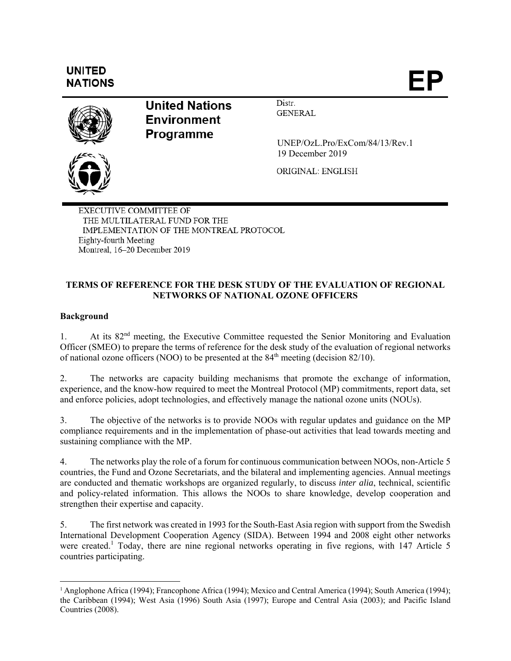# **UNITED NATIONS**



**United Nations Environment Programme** 

Distr. **GENERAL** 

 UNEP/OzL.Pro/ExCom/84/13/Rev.1 19 December 2019

ORIGINAL: ENGLISH

**EXECUTIVE COMMITTEE OF** THE MULTILATERAL FUND FOR THE IMPLEMENTATION OF THE MONTREAL PROTOCOL Eighty-fourth Meeting Montreal, 16-20 December 2019

## **TERMS OF REFERENCE FOR THE DESK STUDY OF THE EVALUATION OF REGIONAL NETWORKS OF NATIONAL OZONE OFFICERS**

## **Background**

l

1. At its  $82<sup>nd</sup>$  meeting, the Executive Committee requested the Senior Monitoring and Evaluation Officer (SMEO) to prepare the terms of reference for the desk study of the evaluation of regional networks of national ozone officers (NOO) to be presented at the  $84<sup>th</sup>$  meeting (decision 82/10).

2. The networks are capacity building mechanisms that promote the exchange of information, experience, and the know-how required to meet the Montreal Protocol (MP) commitments, report data, set and enforce policies, adopt technologies, and effectively manage the national ozone units (NOUs).

3. The objective of the networks is to provide NOOs with regular updates and guidance on the MP compliance requirements and in the implementation of phase-out activities that lead towards meeting and sustaining compliance with the MP.

4. The networks play the role of a forum for continuous communication between NOOs, non-Article 5 countries, the Fund and Ozone Secretariats, and the bilateral and implementing agencies. Annual meetings are conducted and thematic workshops are organized regularly, to discuss *inter alia*, technical, scientific and policy-related information. This allows the NOOs to share knowledge, develop cooperation and strengthen their expertise and capacity.

5. The first network was created in 1993 for the South-East Asia region with support from the Swedish International Development Cooperation Agency (SIDA). Between 1994 and 2008 eight other networks were created.<sup>1</sup> Today, there are nine regional networks operating in five regions, with 147 Article 5 countries participating.

<sup>1</sup> Anglophone Africa (1994); Francophone Africa (1994); Mexico and Central America (1994); South America (1994); the Caribbean (1994); West Asia (1996) South Asia (1997); Europe and Central Asia (2003); and Pacific Island Countries (2008).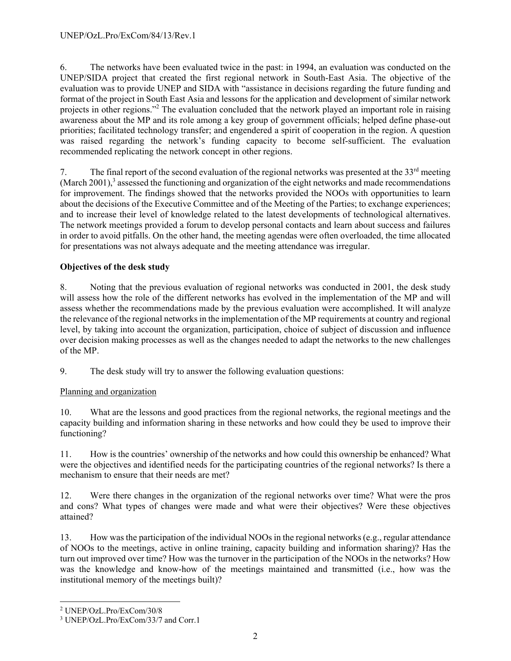6. The networks have been evaluated twice in the past: in 1994, an evaluation was conducted on the UNEP/SIDA project that created the first regional network in South-East Asia. The objective of the evaluation was to provide UNEP and SIDA with "assistance in decisions regarding the future funding and format of the project in South East Asia and lessons for the application and development of similar network projects in other regions."<sup>2</sup> The evaluation concluded that the network played an important role in raising awareness about the MP and its role among a key group of government officials; helped define phase-out priorities; facilitated technology transfer; and engendered a spirit of cooperation in the region. A question was raised regarding the network's funding capacity to become self-sufficient. The evaluation recommended replicating the network concept in other regions.

7. The final report of the second evaluation of the regional networks was presented at the  $33<sup>rd</sup>$  meeting (March 2001), $3$  assessed the functioning and organization of the eight networks and made recommendations for improvement. The findings showed that the networks provided the NOOs with opportunities to learn about the decisions of the Executive Committee and of the Meeting of the Parties; to exchange experiences; and to increase their level of knowledge related to the latest developments of technological alternatives. The network meetings provided a forum to develop personal contacts and learn about success and failures in order to avoid pitfalls. On the other hand, the meeting agendas were often overloaded, the time allocated for presentations was not always adequate and the meeting attendance was irregular.

## **Objectives of the desk study**

8. Noting that the previous evaluation of regional networks was conducted in 2001, the desk study will assess how the role of the different networks has evolved in the implementation of the MP and will assess whether the recommendations made by the previous evaluation were accomplished. It will analyze the relevance of the regional networks in the implementation of the MP requirements at country and regional level, by taking into account the organization, participation, choice of subject of discussion and influence over decision making processes as well as the changes needed to adapt the networks to the new challenges of the MP.

9. The desk study will try to answer the following evaluation questions:

# Planning and organization

10. What are the lessons and good practices from the regional networks, the regional meetings and the capacity building and information sharing in these networks and how could they be used to improve their functioning?

11. How is the countries' ownership of the networks and how could this ownership be enhanced? What were the objectives and identified needs for the participating countries of the regional networks? Is there a mechanism to ensure that their needs are met?

12. Were there changes in the organization of the regional networks over time? What were the pros and cons? What types of changes were made and what were their objectives? Were these objectives attained?

13. How was the participation of the individual NOOs in the regional networks (e.g., regular attendance of NOOs to the meetings, active in online training, capacity building and information sharing)? Has the turn out improved over time? How was the turnover in the participation of the NOOs in the networks? How was the knowledge and know-how of the meetings maintained and transmitted (i.e., how was the institutional memory of the meetings built)?

1

<sup>2</sup> UNEP/OzL.Pro/ExCom/30/8

<sup>3</sup> UNEP/OzL.Pro/ExCom/33/7 and Corr.1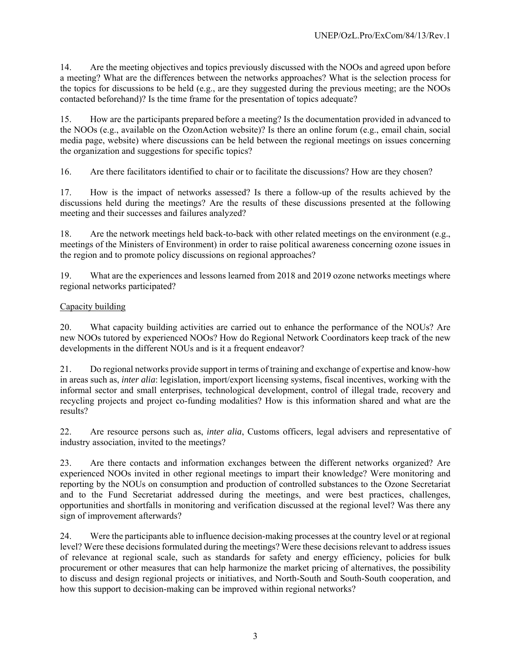14. Are the meeting objectives and topics previously discussed with the NOOs and agreed upon before a meeting? What are the differences between the networks approaches? What is the selection process for the topics for discussions to be held (e.g., are they suggested during the previous meeting; are the NOOs contacted beforehand)? Is the time frame for the presentation of topics adequate?

15. How are the participants prepared before a meeting? Is the documentation provided in advanced to the NOOs (e.g., available on the OzonAction website)? Is there an online forum (e.g., email chain, social media page, website) where discussions can be held between the regional meetings on issues concerning the organization and suggestions for specific topics?

16. Are there facilitators identified to chair or to facilitate the discussions? How are they chosen?

17. How is the impact of networks assessed? Is there a follow-up of the results achieved by the discussions held during the meetings? Are the results of these discussions presented at the following meeting and their successes and failures analyzed?

18. Are the network meetings held back-to-back with other related meetings on the environment (e.g., meetings of the Ministers of Environment) in order to raise political awareness concerning ozone issues in the region and to promote policy discussions on regional approaches?

19. What are the experiences and lessons learned from 2018 and 2019 ozone networks meetings where regional networks participated?

#### Capacity building

20. What capacity building activities are carried out to enhance the performance of the NOUs? Are new NOOs tutored by experienced NOOs? How do Regional Network Coordinators keep track of the new developments in the different NOUs and is it a frequent endeavor?

21. Do regional networks provide support in terms of training and exchange of expertise and know-how in areas such as, *inter alia*: legislation, import/export licensing systems, fiscal incentives, working with the informal sector and small enterprises, technological development, control of illegal trade, recovery and recycling projects and project co-funding modalities? How is this information shared and what are the results?

22. Are resource persons such as, *inter alia*, Customs officers, legal advisers and representative of industry association, invited to the meetings?

23. Are there contacts and information exchanges between the different networks organized? Are experienced NOOs invited in other regional meetings to impart their knowledge? Were monitoring and reporting by the NOUs on consumption and production of controlled substances to the Ozone Secretariat and to the Fund Secretariat addressed during the meetings, and were best practices, challenges, opportunities and shortfalls in monitoring and verification discussed at the regional level? Was there any sign of improvement afterwards?

24. Were the participants able to influence decision-making processes at the country level or at regional level? Were these decisions formulated during the meetings? Were these decisions relevant to address issues of relevance at regional scale, such as standards for safety and energy efficiency, policies for bulk procurement or other measures that can help harmonize the market pricing of alternatives, the possibility to discuss and design regional projects or initiatives, and North-South and South-South cooperation, and how this support to decision-making can be improved within regional networks?